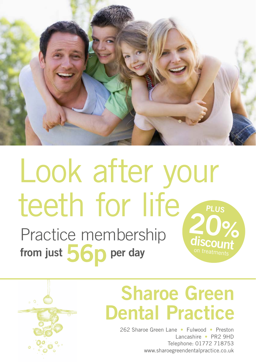

# $20%$ Look after your teeth for life **PLUS**

Practice membership from just  $56p$  per day



## Sharoe Green Dental Practice

262 Sharoe Green Lane • Fulwood • Preston Lancashire • PR2 9HD Telephone: 01772 718753 www.sharoegreendentalpractice.co.uk